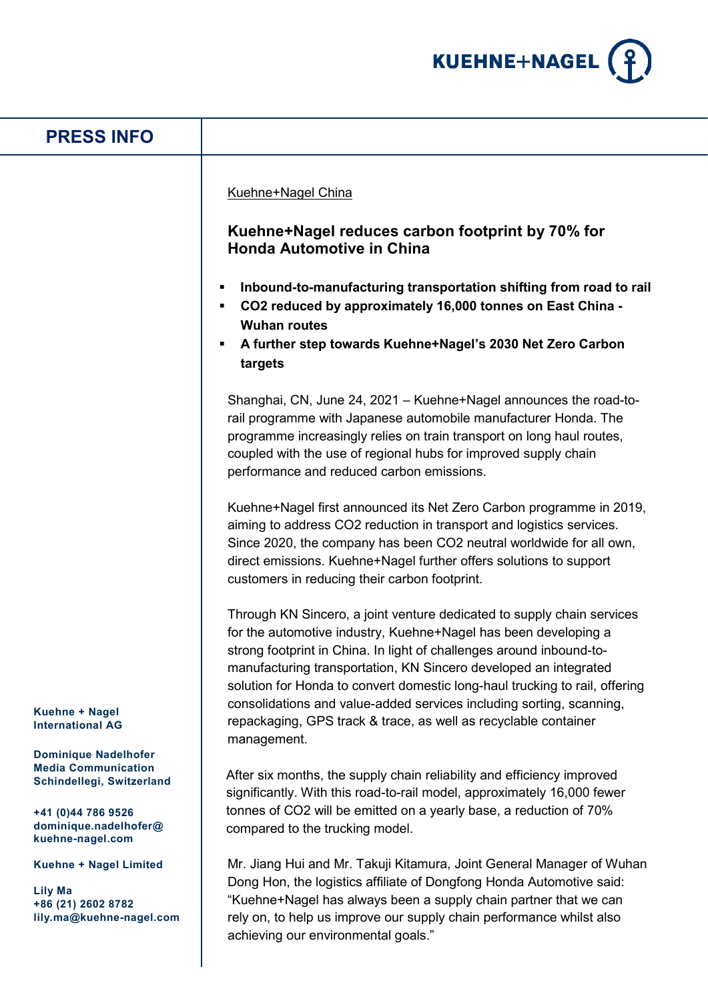

| <b>PRESS INFO</b>                                                                                                                                         |                                                                                                                                                                                                                                                                                                                                                                                                                                                                                                                                                                                                                           |
|-----------------------------------------------------------------------------------------------------------------------------------------------------------|---------------------------------------------------------------------------------------------------------------------------------------------------------------------------------------------------------------------------------------------------------------------------------------------------------------------------------------------------------------------------------------------------------------------------------------------------------------------------------------------------------------------------------------------------------------------------------------------------------------------------|
|                                                                                                                                                           | Kuehne+Nagel China<br>Kuehne+Nagel reduces carbon footprint by 70% for<br><b>Honda Automotive in China</b><br>Inbound-to-manufacturing transportation shifting from road to rail<br>CO2 reduced by approximately 16,000 tonnes on East China -<br><b>Wuhan routes</b><br>A further step towards Kuehne+Nagel's 2030 Net Zero Carbon<br>targets                                                                                                                                                                                                                                                                            |
|                                                                                                                                                           | Shanghai, CN, June 24, 2021 - Kuehne+Nagel announces the road-to-<br>rail programme with Japanese automobile manufacturer Honda. The<br>programme increasingly relies on train transport on long haul routes,<br>coupled with the use of regional hubs for improved supply chain<br>performance and reduced carbon emissions.<br>Kuehne+Nagel first announced its Net Zero Carbon programme in 2019,<br>aiming to address CO2 reduction in transport and logistics services.<br>Since 2020, the company has been CO2 neutral worldwide for all own,<br>direct emissions. Kuehne+Nagel further offers solutions to support |
| <b>Kuehne + Nagel</b><br><b>International AG</b>                                                                                                          | customers in reducing their carbon footprint.<br>Through KN Sincero, a joint venture dedicated to supply chain services<br>for the automotive industry, Kuehne+Nagel has been developing a<br>strong footprint in China. In light of challenges around inbound-to-<br>manufacturing transportation, KN Sincero developed an integrated<br>solution for Honda to convert domestic long-haul trucking to rail, offering<br>consolidations and value-added services including sorting, scanning,<br>repackaging, GPS track & trace, as well as recyclable container<br>management.                                           |
| <b>Dominique Nadelhofer</b><br><b>Media Communication</b><br>Schindellegi, Switzerland<br>+41 (0)44 786 9526<br>dominique.nadelhofer@<br>kuehne-nagel.com | After six months, the supply chain reliability and efficiency improved<br>significantly. With this road-to-rail model, approximately 16,000 fewer<br>tonnes of CO2 will be emitted on a yearly base, a reduction of 70%<br>compared to the trucking model.                                                                                                                                                                                                                                                                                                                                                                |
| Kuehne + Nagel Limited<br><b>Lily Ma</b><br>+86 (21) 2602 8782<br>lily.ma@kuehne-nagel.com                                                                | Mr. Jiang Hui and Mr. Takuji Kitamura, Joint General Manager of Wuhan<br>Dong Hon, the logistics affiliate of Dongfong Honda Automotive said:<br>"Kuehne+Nagel has always been a supply chain partner that we can<br>rely on, to help us improve our supply chain performance whilst also<br>achieving our environmental goals."                                                                                                                                                                                                                                                                                          |